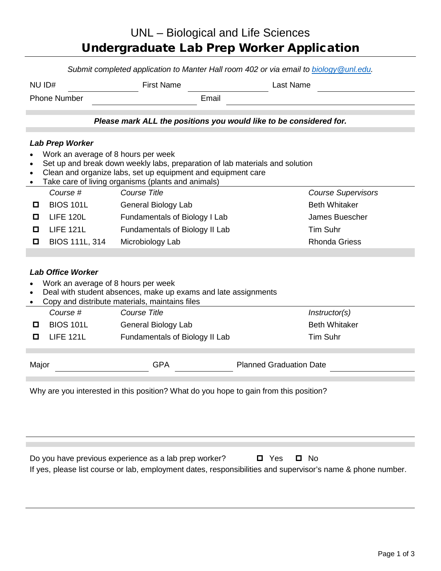## UNL – Biological and Life Sciences Undergraduate Lab Prep Worker Application

*Submit completed application to Manter Hall room 402 or via email to [biology@unl.edu.](mailto:biology@unl.edu)* 

| NU ID#              | <b>First Name</b> |       |  |  |
|---------------------|-------------------|-------|--|--|
| <b>Phone Number</b> |                   | Email |  |  |

*Please mark ALL the positions you would like to be considered for.*

## *Lab Prep Worker*

- Work an average of 8 hours per week
- Set up and break down weekly labs, preparation of lab materials and solution
- Clean and organize labs, set up equipment and equipment care
- Take care of living organisms (plants and animals) *Course # Course Title Course Supervisors* **D** BIOS 101L General Biology Lab **Beth Whitaker LIFE 120L** Fundamentals of Biology I Lab James Buescher **D** LIFE 121L Fundamentals of Biology II Lab Tim Suhr □ BIOS 111L, 314 Microbiology Lab Rhonda Griess

## *Lab Office Worker*

- Work an average of 8 hours per week
- Deal with student absences, make up exams and late assignments
- Copy and distribute materials, maintains files

| Course #         | Course Title                   | <i>Instructor(s)</i> |
|------------------|--------------------------------|----------------------|
| <b>BIOS 101L</b> | General Biology Lab            | <b>Beth Whitaker</b> |
| LIFE 121L        | Fundamentals of Biology II Lab | Tim Suhr             |
|                  |                                |                      |

Major **Major** GPA **COVID-Major** GPA Planned Graduation Date

Why are you interested in this position? What do you hope to gain from this position?

Do you have previous experience as a lab prep worker?  $\Box$  Yes  $\Box$  No If yes, please list course or lab, employment dates, responsibilities and supervisor's name & phone number.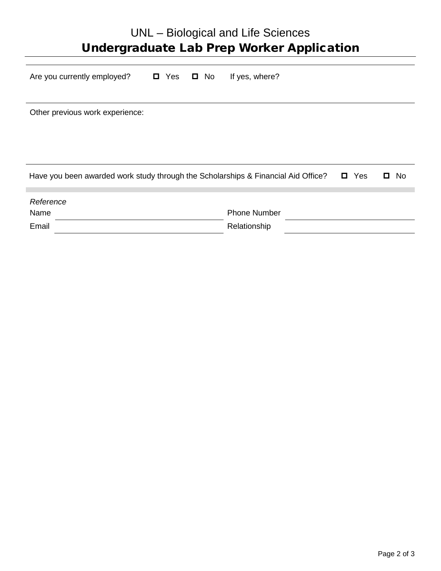| UNL – Biological and Life Sciences<br><b>Undergraduate Lab Prep Worker Application</b>                    |                     |  |  |  |  |
|-----------------------------------------------------------------------------------------------------------|---------------------|--|--|--|--|
| Are you currently employed?<br>□ Yes<br>$\Box$ No                                                         | If yes, where?      |  |  |  |  |
| Other previous work experience:                                                                           |                     |  |  |  |  |
| Have you been awarded work study through the Scholarships & Financial Aid Office?<br>Yes<br>0<br>No.<br>П |                     |  |  |  |  |
| Reference                                                                                                 |                     |  |  |  |  |
| Name                                                                                                      | <b>Phone Number</b> |  |  |  |  |
| Email                                                                                                     | Relationship        |  |  |  |  |